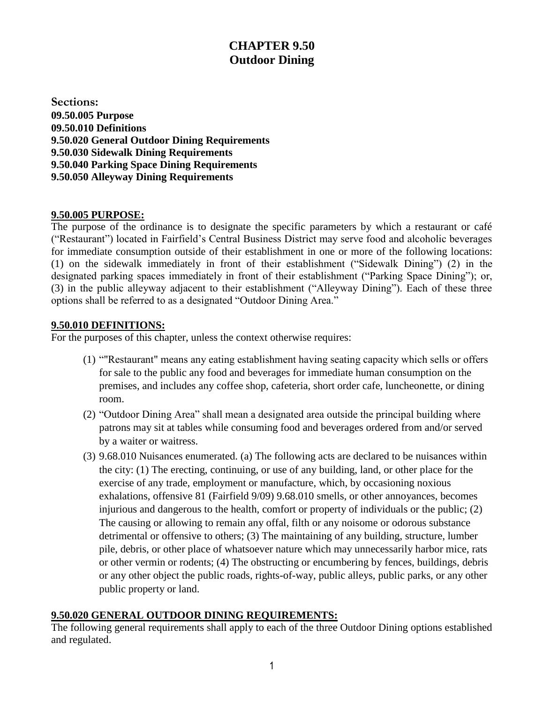# **CHAPTER 9.50 Outdoor Dining**

**Sections: 09.50.005 Purpose 09.50.010 Definitions 9.50.020 General Outdoor Dining Requirements 9.50.030 Sidewalk Dining Requirements 9.50.040 Parking Space Dining Requirements 9.50.050 Alleyway Dining Requirements**

#### **9.50.005 PURPOSE:**

The purpose of the ordinance is to designate the specific parameters by which a restaurant or café ("Restaurant") located in Fairfield's Central Business District may serve food and alcoholic beverages for immediate consumption outside of their establishment in one or more of the following locations: (1) on the sidewalk immediately in front of their establishment ("Sidewalk Dining") (2) in the designated parking spaces immediately in front of their establishment ("Parking Space Dining"); or, (3) in the public alleyway adjacent to their establishment ("Alleyway Dining"). Each of these three options shall be referred to as a designated "Outdoor Dining Area."

## **9.50.010 DEFINITIONS:**

For the purposes of this chapter, unless the context otherwise requires:

- (1) ""Restaurant" means any eating establishment having seating capacity which sells or offers for sale to the public any food and beverages for immediate human consumption on the premises, and includes any coffee shop, cafeteria, short order cafe, luncheonette, or dining room.
- (2) "Outdoor Dining Area" shall mean a designated area outside the principal building where patrons may sit at tables while consuming food and beverages ordered from and/or served by a waiter or waitress.
- (3) 9.68.010 Nuisances enumerated. (a) The following acts are declared to be nuisances within the city: (1) The erecting, continuing, or use of any building, land, or other place for the exercise of any trade, employment or manufacture, which, by occasioning noxious exhalations, offensive 81 (Fairfield 9/09) 9.68.010 smells, or other annoyances, becomes injurious and dangerous to the health, comfort or property of individuals or the public; (2) The causing or allowing to remain any offal, filth or any noisome or odorous substance detrimental or offensive to others; (3) The maintaining of any building, structure, lumber pile, debris, or other place of whatsoever nature which may unnecessarily harbor mice, rats or other vermin or rodents; (4) The obstructing or encumbering by fences, buildings, debris or any other object the public roads, rights-of-way, public alleys, public parks, or any other public property or land.

## **9.50.020 GENERAL OUTDOOR DINING REQUIREMENTS:**

The following general requirements shall apply to each of the three Outdoor Dining options established and regulated.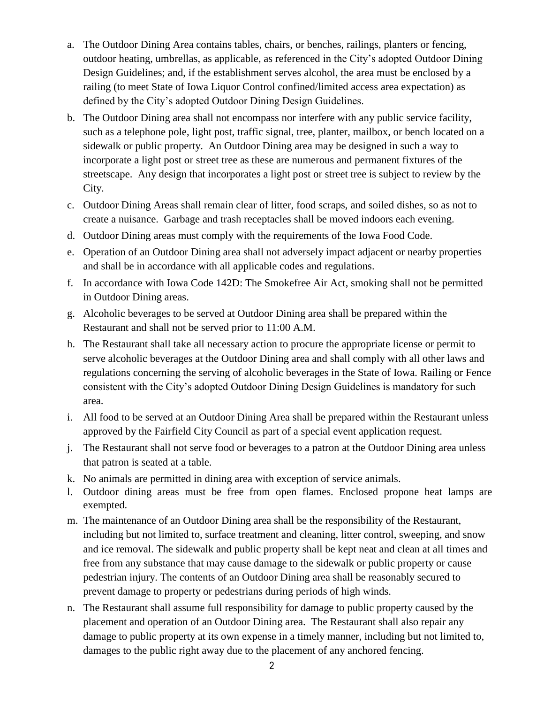- a. The Outdoor Dining Area contains tables, chairs, or benches, railings, planters or fencing, outdoor heating, umbrellas, as applicable, as referenced in the City's adopted Outdoor Dining Design Guidelines; and, if the establishment serves alcohol, the area must be enclosed by a railing (to meet State of Iowa Liquor Control confined/limited access area expectation) as defined by the City's adopted Outdoor Dining Design Guidelines.
- b. The Outdoor Dining area shall not encompass nor interfere with any public service facility, such as a telephone pole, light post, traffic signal, tree, planter, mailbox, or bench located on a sidewalk or public property. An Outdoor Dining area may be designed in such a way to incorporate a light post or street tree as these are numerous and permanent fixtures of the streetscape. Any design that incorporates a light post or street tree is subject to review by the City.
- c. Outdoor Dining Areas shall remain clear of litter, food scraps, and soiled dishes, so as not to create a nuisance. Garbage and trash receptacles shall be moved indoors each evening.
- d. Outdoor Dining areas must comply with the requirements of the Iowa Food Code.
- e. Operation of an Outdoor Dining area shall not adversely impact adjacent or nearby properties and shall be in accordance with all applicable codes and regulations.
- f. In accordance with Iowa Code 142D: The Smokefree Air Act, smoking shall not be permitted in Outdoor Dining areas.
- g. Alcoholic beverages to be served at Outdoor Dining area shall be prepared within the Restaurant and shall not be served prior to 11:00 A.M.
- h. The Restaurant shall take all necessary action to procure the appropriate license or permit to serve alcoholic beverages at the Outdoor Dining area and shall comply with all other laws and regulations concerning the serving of alcoholic beverages in the State of Iowa. Railing or Fence consistent with the City's adopted Outdoor Dining Design Guidelines is mandatory for such area.
- i. All food to be served at an Outdoor Dining Area shall be prepared within the Restaurant unless approved by the Fairfield City Council as part of a special event application request.
- j. The Restaurant shall not serve food or beverages to a patron at the Outdoor Dining area unless that patron is seated at a table.
- k. No animals are permitted in dining area with exception of service animals.
- l. Outdoor dining areas must be free from open flames. Enclosed propone heat lamps are exempted.
- m. The maintenance of an Outdoor Dining area shall be the responsibility of the Restaurant, including but not limited to, surface treatment and cleaning, litter control, sweeping, and snow and ice removal. The sidewalk and public property shall be kept neat and clean at all times and free from any substance that may cause damage to the sidewalk or public property or cause pedestrian injury. The contents of an Outdoor Dining area shall be reasonably secured to prevent damage to property or pedestrians during periods of high winds.
- n. The Restaurant shall assume full responsibility for damage to public property caused by the placement and operation of an Outdoor Dining area. The Restaurant shall also repair any damage to public property at its own expense in a timely manner, including but not limited to, damages to the public right away due to the placement of any anchored fencing.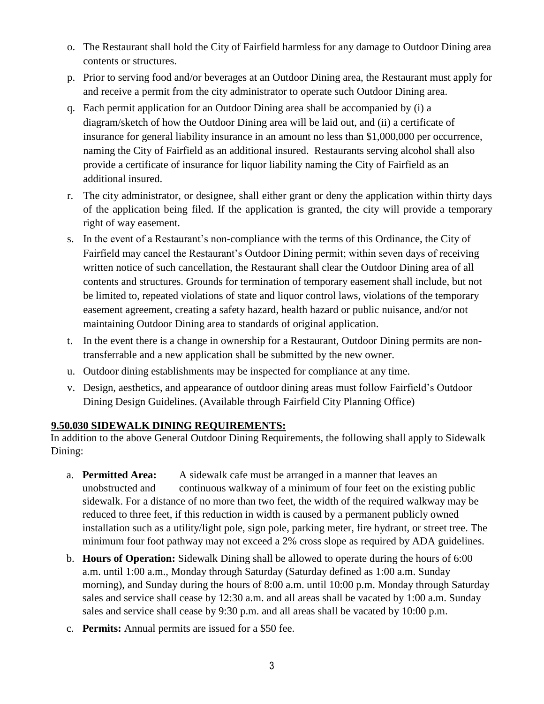- o. The Restaurant shall hold the City of Fairfield harmless for any damage to Outdoor Dining area contents or structures.
- p. Prior to serving food and/or beverages at an Outdoor Dining area, the Restaurant must apply for and receive a permit from the city administrator to operate such Outdoor Dining area.
- q. Each permit application for an Outdoor Dining area shall be accompanied by (i) a diagram/sketch of how the Outdoor Dining area will be laid out, and (ii) a certificate of insurance for general liability insurance in an amount no less than \$1,000,000 per occurrence, naming the City of Fairfield as an additional insured. Restaurants serving alcohol shall also provide a certificate of insurance for liquor liability naming the City of Fairfield as an additional insured.
- r. The city administrator, or designee, shall either grant or deny the application within thirty days of the application being filed. If the application is granted, the city will provide a temporary right of way easement.
- s. In the event of a Restaurant's non-compliance with the terms of this Ordinance, the City of Fairfield may cancel the Restaurant's Outdoor Dining permit; within seven days of receiving written notice of such cancellation, the Restaurant shall clear the Outdoor Dining area of all contents and structures. Grounds for termination of temporary easement shall include, but not be limited to, repeated violations of state and liquor control laws, violations of the temporary easement agreement, creating a safety hazard, health hazard or public nuisance, and/or not maintaining Outdoor Dining area to standards of original application.
- t. In the event there is a change in ownership for a Restaurant, Outdoor Dining permits are nontransferrable and a new application shall be submitted by the new owner.
- u. Outdoor dining establishments may be inspected for compliance at any time.
- v. Design, aesthetics, and appearance of outdoor dining areas must follow Fairfield's Outdoor Dining Design Guidelines. (Available through Fairfield City Planning Office)

## **9.50.030 SIDEWALK DINING REQUIREMENTS:**

In addition to the above General Outdoor Dining Requirements, the following shall apply to Sidewalk Dining:

- a. **Permitted Area:** A sidewalk cafe must be arranged in a manner that leaves an unobstructed and continuous walkway of a minimum of four feet on the existing public sidewalk. For a distance of no more than two feet, the width of the required walkway may be reduced to three feet, if this reduction in width is caused by a permanent publicly owned installation such as a utility/light pole, sign pole, parking meter, fire hydrant, or street tree. The minimum four foot pathway may not exceed a 2% cross slope as required by ADA guidelines.
- b. **Hours of Operation:** Sidewalk Dining shall be allowed to operate during the hours of 6:00 a.m. until 1:00 a.m., Monday through Saturday (Saturday defined as 1:00 a.m. Sunday morning), and Sunday during the hours of 8:00 a.m. until 10:00 p.m. Monday through Saturday sales and service shall cease by 12:30 a.m. and all areas shall be vacated by 1:00 a.m. Sunday sales and service shall cease by 9:30 p.m. and all areas shall be vacated by 10:00 p.m.
- c. **Permits:** Annual permits are issued for a \$50 fee.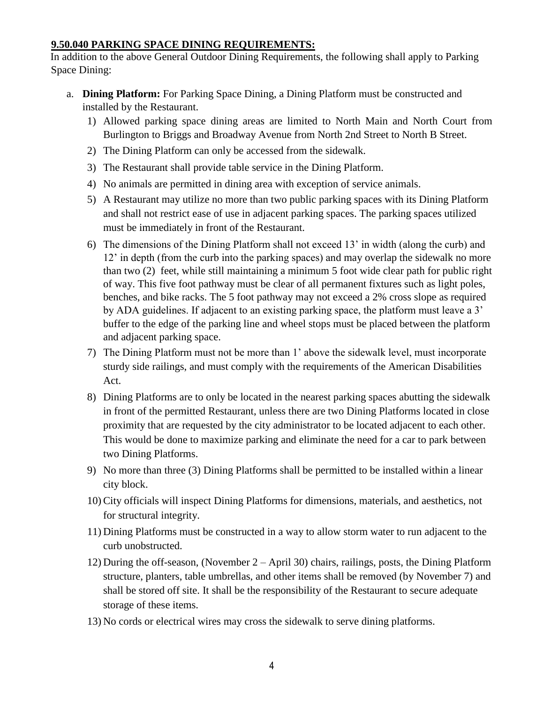#### **9.50.040 PARKING SPACE DINING REQUIREMENTS:**

In addition to the above General Outdoor Dining Requirements, the following shall apply to Parking Space Dining:

- a. **Dining Platform:** For Parking Space Dining, a Dining Platform must be constructed and installed by the Restaurant.
	- 1) Allowed parking space dining areas are limited to North Main and North Court from Burlington to Briggs and Broadway Avenue from North 2nd Street to North B Street.
	- 2) The Dining Platform can only be accessed from the sidewalk.
	- 3) The Restaurant shall provide table service in the Dining Platform.
	- 4) No animals are permitted in dining area with exception of service animals.
	- 5) A Restaurant may utilize no more than two public parking spaces with its Dining Platform and shall not restrict ease of use in adjacent parking spaces. The parking spaces utilized must be immediately in front of the Restaurant.
	- 6) The dimensions of the Dining Platform shall not exceed 13' in width (along the curb) and 12' in depth (from the curb into the parking spaces) and may overlap the sidewalk no more than two (2) feet, while still maintaining a minimum 5 foot wide clear path for public right of way. This five foot pathway must be clear of all permanent fixtures such as light poles, benches, and bike racks. The 5 foot pathway may not exceed a 2% cross slope as required by ADA guidelines. If adjacent to an existing parking space, the platform must leave a 3' buffer to the edge of the parking line and wheel stops must be placed between the platform and adjacent parking space.
	- 7) The Dining Platform must not be more than 1' above the sidewalk level, must incorporate sturdy side railings, and must comply with the requirements of the American Disabilities Act.
	- 8) Dining Platforms are to only be located in the nearest parking spaces abutting the sidewalk in front of the permitted Restaurant, unless there are two Dining Platforms located in close proximity that are requested by the city administrator to be located adjacent to each other. This would be done to maximize parking and eliminate the need for a car to park between two Dining Platforms.
	- 9) No more than three (3) Dining Platforms shall be permitted to be installed within a linear city block.
	- 10)City officials will inspect Dining Platforms for dimensions, materials, and aesthetics, not for structural integrity.
	- 11) Dining Platforms must be constructed in a way to allow storm water to run adjacent to the curb unobstructed.
	- 12) During the off-season, (November 2 April 30) chairs, railings, posts, the Dining Platform structure, planters, table umbrellas, and other items shall be removed (by November 7) and shall be stored off site. It shall be the responsibility of the Restaurant to secure adequate storage of these items.
	- 13) No cords or electrical wires may cross the sidewalk to serve dining platforms.